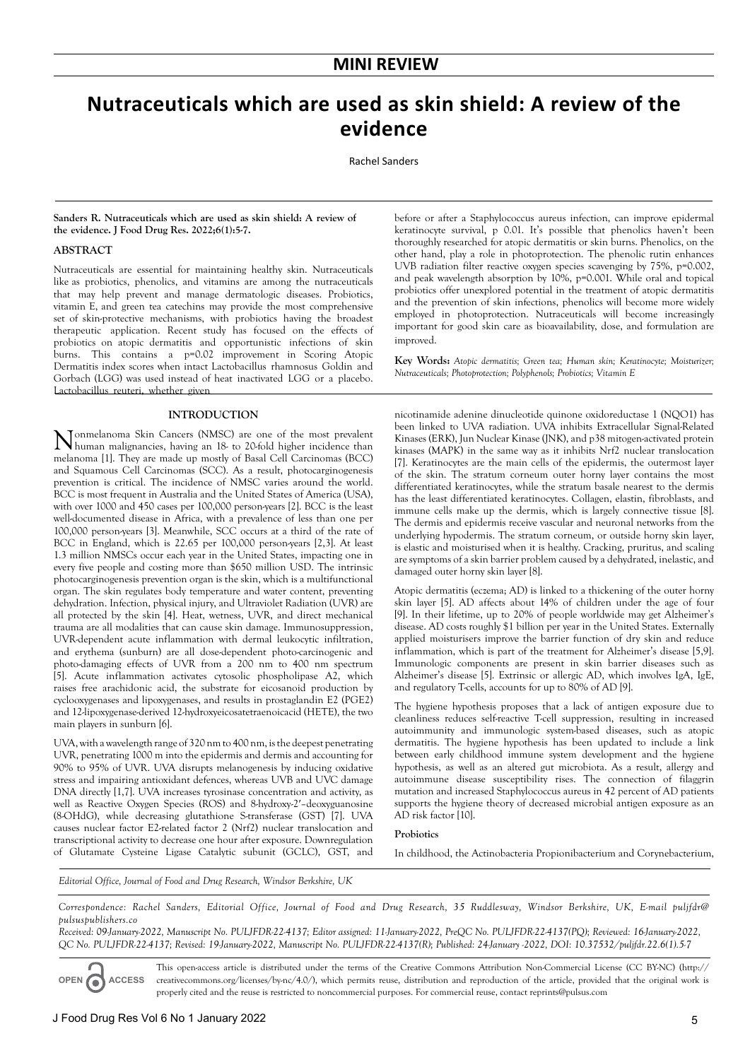# **Nutraceuticals which are used as skin shield: A review of the evidence**

Rachel Sanders

#### **Sanders R. Nutraceuticals which are used as skin shield: A review of the evidence. J Food Drug Res. 2022;6(1):5-7.**

## **ABSTRACT**

Nutraceuticals are essential for maintaining healthy skin. Nutraceuticals like as probiotics, phenolics, and vitamins are among the nutraceuticals that may help prevent and manage dermatologic diseases. Probiotics, vitamin E, and green tea catechins may provide the most comprehensive set of skin-protective mechanisms, with probiotics having the broadest therapeutic application. Recent study has focused on the effects of probiotics on atopic dermatitis and opportunistic infections of skin burns. This contains a p=0.02 improvement in Scoring Atopic Dermatitis index scores when intact Lactobacillus rhamnosus Goldin and Gorbach (LGG) was used instead of heat inactivated LGG or a placebo. Lactobacillus reuteri, whether given

## **INTRODUCTION**

Nonmelanoma Skin Cancers (NMSC) are one of the most prevalent human malignancies, having an 18- to 20-fold higher incidence than melanoma [1]. They are made up mostly of Basal Cell Carcinomas (BCC) and Squamous Cell Carcinomas (SCC). As a result, photocarginogenesis prevention is critical. The incidence of NMSC varies around the world. BCC is most frequent in Australia and the United States of America (USA), with over 1000 and 450 cases per 100,000 person-years [2]. BCC is the least well-documented disease in Africa, with a prevalence of less than one per 100,000 person-years [3]. Meanwhile, SCC occurs at a third of the rate of BCC in England, which is 22.65 per 100,000 person-years [2,3]. At least 1.3 million NMSCs occur each year in the United States, impacting one in every five people and costing more than \$650 million USD. The intrinsic photocarginogenesis prevention organ is the skin, which is a multifunctional organ. The skin regulates body temperature and water content, preventing dehydration. Infection, physical injury, and Ultraviolet Radiation (UVR) are all protected by the skin [4]. Heat, wetness, UVR, and direct mechanical trauma are all modalities that can cause skin damage. Immunosuppression, UVR-dependent acute inflammation with dermal leukocytic infiltration, and erythema (sunburn) are all dose-dependent photo-carcinogenic and photo-damaging effects of UVR from a 200 nm to 400 nm spectrum [5]. Acute inflammation activates cytosolic phospholipase A2, which raises free arachidonic acid, the substrate for eicosanoid production by cyclooxygenases and lipoxygenases, and results in prostaglandin E2 (PGE2) and 12-lipoxygenase-derived 12-hydroxyeicosatetraenoicacid (HETE), the two main players in sunburn [6].

UVA, with a wavelength range of 320 nm to 400 nm, is the deepest penetrating UVR, penetrating 1000 m into the epidermis and dermis and accounting for 90% to 95% of UVR. UVA disrupts melanogenesis by inducing oxidative stress and impairing antioxidant defences, whereas UVB and UVC damage DNA directly [1,7]. UVA increases tyrosinase concentration and activity, as well as Reactive Oxygen Species (ROS) and 8-hydroxy-2′–deoxyguanosine (8-OHdG), while decreasing glutathione S-transferase (GST) [7]. UVA causes nuclear factor E2-related factor 2 (Nrf2) nuclear translocation and transcriptional activity to decrease one hour after exposure. Downregulation of Glutamate Cysteine Ligase Catalytic subunit (GCLC), GST, and before or after a Staphylococcus aureus infection, can improve epidermal keratinocyte survival, p 0.01. It's possible that phenolics haven't been thoroughly researched for atopic dermatitis or skin burns. Phenolics, on the other hand, play a role in photoprotection. The phenolic rutin enhances UVB radiation filter reactive oxygen species scavenging by 75%, p=0.002, and peak wavelength absorption by 10%, p=0.001. While oral and topical probiotics offer unexplored potential in the treatment of atopic dermatitis and the prevention of skin infections, phenolics will become more widely employed in photoprotection. Nutraceuticals will become increasingly important for good skin care as bioavailability, dose, and formulation are improved.

**Key Words:** *Atopic dermatitis; Green tea; Human skin; Keratinocyte; Moisturizer; Nutraceuticals; Photoprotection; Polyphenols; Probiotics; Vitamin E*

nicotinamide adenine dinucleotide quinone oxidoreductase 1 (NQO1) has been linked to UVA radiation. UVA inhibits Extracellular Signal-Related Kinases (ERK), Jun Nuclear Kinase (JNK), and p38 mitogen-activated protein kinases (MAPK) in the same way as it inhibits Nrf2 nuclear translocation [7]. Keratinocytes are the main cells of the epidermis, the outermost layer of the skin. The stratum corneum outer horny layer contains the most differentiated keratinocytes, while the stratum basale nearest to the dermis has the least differentiated keratinocytes. Collagen, elastin, fibroblasts, and immune cells make up the dermis, which is largely connective tissue [8]. The dermis and epidermis receive vascular and neuronal networks from the underlying hypodermis. The stratum corneum, or outside horny skin layer, is elastic and moisturised when it is healthy. Cracking, pruritus, and scaling are symptoms of a skin barrier problem caused by a dehydrated, inelastic, and damaged outer horny skin layer [8].

Atopic dermatitis (eczema; AD) is linked to a thickening of the outer horny skin layer [5]. AD affects about 14% of children under the age of four [9]. In their lifetime, up to 20% of people worldwide may get Alzheimer's disease. AD costs roughly \$1 billion per year in the United States. Externally applied moisturisers improve the barrier function of dry skin and reduce inflammation, which is part of the treatment for Alzheimer's disease [5,9]. Immunologic components are present in skin barrier diseases such as Alzheimer's disease [5]. Extrinsic or allergic AD, which involves IgA, IgE, and regulatory T-cells, accounts for up to 80% of AD [9].

The hygiene hypothesis proposes that a lack of antigen exposure due to cleanliness reduces self-reactive T-cell suppression, resulting in increased autoimmunity and immunologic system-based diseases, such as atopic dermatitis. The hygiene hypothesis has been updated to include a link between early childhood immune system development and the hygiene hypothesis, as well as an altered gut microbiota. As a result, allergy and autoimmune disease susceptibility rises. The connection of filaggrin mutation and increased Staphylococcus aureus in 42 percent of AD patients supports the hygiene theory of decreased microbial antigen exposure as an AD risk factor [10].

# **Probiotics**

In childhood, the Actinobacteria Propionibacterium and Corynebacterium,

*Editorial Office, Journal of Food and Drug Research, Windsor Berkshire, UK*

*Correspondence: Rachel Sanders, Editorial Office, Journal of Food and Drug Research, 35 Ruddlesway, Windsor Berkshire, UK, E-mail puljfdr@ pulsuspublishers.co*

*Received: 09-January-2022, Manuscript No. PULJFDR-22-4137; Editor assigned: 11-January-2022, PreQC No. PULJFDR-22-4137(PQ); Reviewed: 16-January-2022, QC No. PULJFDR-22-4137; Revised: 19-January-2022, Manuscript No. PULJFDR-22-4137(R); Published: 24-January -2022, DOI: 10.37532/puljfdr.22.6(1).5-7*

**OPEN ACCESS** This open-access article is distributed under the terms of the Creative Commons Attribution Non-Commercial License (CC BY-NC) (http:// creativecommons.org/licenses/by-nc/4.0/), which permits reuse, distribution and reproduction of the article, provided that the original work is properly cited and the reuse is restricted to noncommercial purposes. For commercial reuse, contact reprints@pulsus.com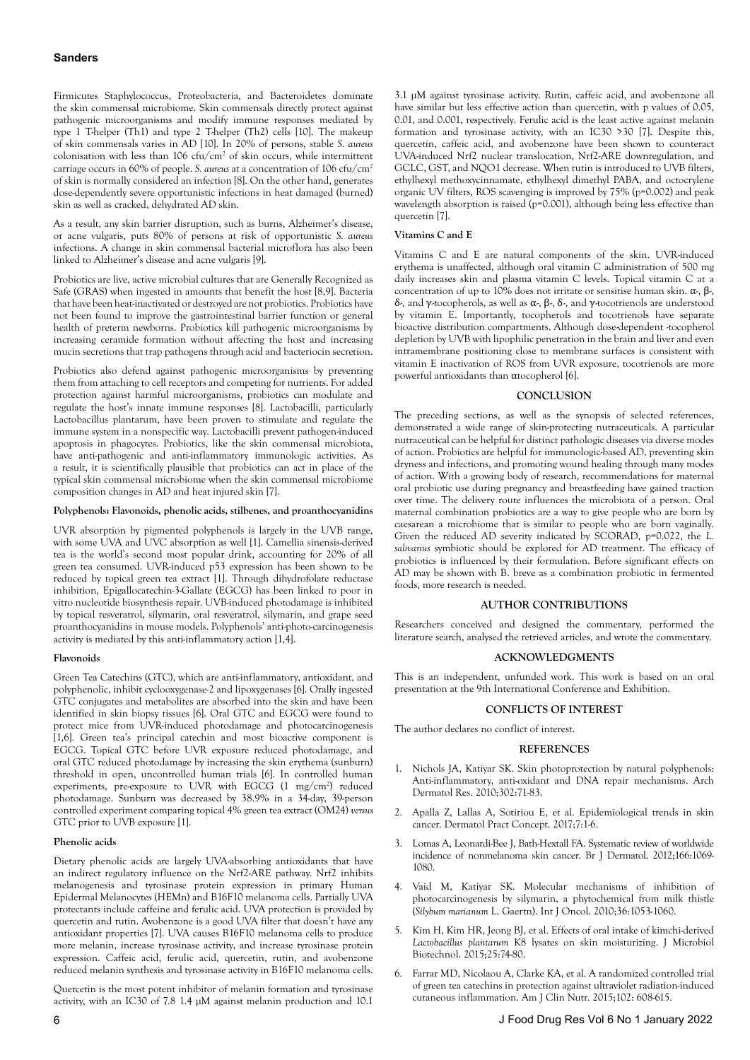Firmicutes Staphylococcus, Proteobacteria, and Bacteroidetes dominate the skin commensal microbiome. Skin commensals directly protect against pathogenic microorganisms and modify immune responses mediated by type 1 T-helper (Th1) and type 2 T-helper (Th2) cells [10]. The makeup of skin commensals varies in AD [10]. In 20% of persons, stable *S. aureus* colonisation with less than  $106 \text{ ctu/cm}^2$  of skin occurs, while intermittent carriage occurs in 60% of people. *S. aureus* at a concentration of 106 cfu/cm2 of skin is normally considered an infection [8]. On the other hand, generates dose-dependently severe opportunistic infections in heat damaged (burned) skin as well as cracked, dehydrated AD skin.

As a result, any skin barrier disruption, such as burns, Alzheimer's disease, or acne vulgaris, puts 80% of persons at risk of opportunistic *S. aureus* infections. A change in skin commensal bacterial microflora has also been linked to Alzheimer's disease and acne vulgaris [9].

Probiotics are live, active microbial cultures that are Generally Recognized as Safe (GRAS) when ingested in amounts that benefit the host [8,9]. Bacteria that have been heat-inactivated or destroyed are not probiotics. Probiotics have not been found to improve the gastrointestinal barrier function or general health of preterm newborns. Probiotics kill pathogenic microorganisms by increasing ceramide formation without affecting the host and increasing mucin secretions that trap pathogens through acid and bacteriocin secretion.

Probiotics also defend against pathogenic microorganisms by preventing them from attaching to cell receptors and competing for nutrients. For added protection against harmful microorganisms, probiotics can modulate and regulate the host's innate immune responses [8]. Lactobacilli, particularly Lactobacillus plantarum, have been proven to stimulate and regulate the immune system in a nonspecific way. Lactobacilli prevent pathogen-induced apoptosis in phagocytes. Probiotics, like the skin commensal microbiota, have anti-pathogenic and anti-inflammatory immunologic activities. As a result, it is scientifically plausible that probiotics can act in place of the typical skin commensal microbiome when the skin commensal microbiome composition changes in AD and heat injured skin [7].

## **Polyphenols: Flavonoids, phenolic acids, stilbenes, and proanthocyanidins**

UVR absorption by pigmented polyphenols is largely in the UVB range, with some UVA and UVC absorption as well [1]. Camellia sinensis-derived tea is the world's second most popular drink, accounting for 20% of all green tea consumed. UVR-induced p53 expression has been shown to be reduced by topical green tea extract [1]. Through dihydrofolate reductase inhibition, Epigallocatechin-3-Gallate (EGCG) has been linked to poor in vitro nucleotide biosynthesis repair. UVB-induced photodamage is inhibited by topical resveratrol, silymarin, oral resveratrol, silymarin, and grape seed proanthocyanidins in mouse models. Polyphenols' anti-photo-carcinogenesis activity is mediated by this anti-inflammatory action [1,4].

## **Flavonoids**

Green Tea Catechins (GTC), which are anti-inflammatory, antioxidant, and polyphenolic, inhibit cyclooxygenase-2 and lipoxygenases [6]. Orally ingested GTC conjugates and metabolites are absorbed into the skin and have been identified in skin biopsy tissues [6]. Oral GTC and EGCG were found to protect mice from UVR-induced photodamage and photocarcinogenesis [1,6]. Green tea's principal catechin and most bioactive component is EGCG. Topical GTC before UVR exposure reduced photodamage, and oral GTC reduced photodamage by increasing the skin erythema (sunburn) threshold in open, uncontrolled human trials [6]. In controlled human experiments, pre-exposure to UVR with EGCG (1 mg/cm2 ) reduced photodamage. Sunburn was decreased by 38.9% in a 34-day, 39-person controlled experiment comparing topical 4% green tea extract (OM24) *versus* GTC prior to UVB exposure [1].

## **Phenolic acids**

Dietary phenolic acids are largely UVA-absorbing antioxidants that have an indirect regulatory influence on the Nrf2-ARE pathway. Nrf2 inhibits melanogenesis and tyrosinase protein expression in primary Human Epidermal Melanocytes (HEMn) and B16F10 melanoma cells. Partially UVA protectants include caffeine and ferulic acid. UVA protection is provided by quercetin and rutin. Avobenzone is a good UVA filter that doesn't have any antioxidant properties [7]. UVA causes B16F10 melanoma cells to produce more melanin, increase tyrosinase activity, and increase tyrosinase protein expression. Caffeic acid, ferulic acid, quercetin, rutin, and avobenzone reduced melanin synthesis and tyrosinase activity in B16F10 melanoma cells.

Quercetin is the most potent inhibitor of melanin formation and tyrosinase activity, with an IC30 of 7.8 1.4 µM against melanin production and 10.1

3.1 µM against tyrosinase activity. Rutin, caffeic acid, and avobenzone all have similar but less effective action than quercetin, with p values of 0.05. 0.01, and 0.001, respectively. Ferulic acid is the least active against melanin formation and tyrosinase activity, with an IC30 >30 [7]. Despite this, quercetin, caffeic acid, and avobenzone have been shown to counteract UVA-induced Nrf2 nuclear translocation, Nrf2-ARE downregulation, and GCLC, GST, and NQO1 decrease. When rutin is introduced to UVB filters, ethylhexyl methoxycinnamate, ethylhexyl dimethyl PABA, and octocrylene organic UV filters, ROS scavenging is improved by 75% (p=0.002) and peak wavelength absorption is raised (p=0.001), although being less effective than quercetin [7].

## **Vitamins C and E**

Vitamins C and E are natural components of the skin. UVR-induced erythema is unaffected, although oral vitamin C administration of 500 mg daily increases skin and plasma vitamin C levels. Topical vitamin C at a concentration of up to 10% does not irritate or sensitise human skin.  $\alpha$ ,  $\beta$ , δ-, and γ-tocopherols, as well as  $\alpha$ -,  $\beta$ -,  $\delta$ -, and γ-tocotrienols are understood by vitamin E. Importantly, tocopherols and tocotrienols have separate bioactive distribution compartments. Although dose-dependent -tocopherol depletion by UVB with lipophilic penetration in the brain and liver and even intramembrane positioning close to membrane surfaces is consistent with vitamin E inactivation of ROS from UVR exposure, tocotrienols are more powerful antioxidants than αtocopherol [6].

#### **CONCLUSION**

The preceding sections, as well as the synopsis of selected references, demonstrated a wide range of skin-protecting nutraceuticals. A particular nutraceutical can be helpful for distinct pathologic diseases via diverse modes of action. Probiotics are helpful for immunologic-based AD, preventing skin dryness and infections, and promoting wound healing through many modes of action. With a growing body of research, recommendations for maternal oral probiotic use during pregnancy and breastfeeding have gained traction over time. The delivery route influences the microbiota of a person. Oral maternal combination probiotics are a way to give people who are born by caesarean a microbiome that is similar to people who are born vaginally. Given the reduced AD severity indicated by SCORAD, p=0.022, the *L. salivarius* symbiotic should be explored for AD treatment. The efficacy of probiotics is influenced by their formulation. Before significant effects on AD may be shown with B. breve as a combination probiotic in fermented foods, more research is needed.

## **AUTHOR CONTRIBUTIONS**

Researchers conceived and designed the commentary, performed the literature search, analysed the retrieved articles, and wrote the commentary.

## **ACKNOWLEDGMENTS**

This is an independent, unfunded work. This work is based on an oral presentation at the 9th International Conference and Exhibition.

## **CONFLICTS OF INTEREST**

The author declares no conflict of interest.

#### **REFERENCES**

- 1. [Nichols JA, Katiyar SK. Skin photoprotection by natural polyphenols:](https://doi.org/10.1007/s00403-009-1001-3) [Anti-inflammatory, anti-oxidant and DNA repair mechanisms. Arch](https://doi.org/10.1007/s00403-009-1001-3) [Dermatol Res. 2010;302:71-83.](https://doi.org/10.1007/s00403-009-1001-3)
- 2. [Apalla Z, Lallas A, Sotiriou E, et al. Epidemiological trends in skin](https://doi.org/10.5826/dpc.0702a01) [cancer. Dermatol Pract Concept. 2017;7:1-6.](https://doi.org/10.5826/dpc.0702a01)
- 3. [Lomas A, Leonardi-Bee J, Bath-Hextall FA. Systematic review of worldwide](https://doi.org/10.1111/j.1365-2133.2012.10830.x) [incidence of nonmelanoma skin cancer. Br J Dermatol. 2012;166:1069-](https://doi.org/10.1111/j.1365-2133.2012.10830.x) [1080.](https://doi.org/10.1111/j.1365-2133.2012.10830.x)
- 4. [Vaid M, Katiyar SK. Molecular mechanisms of inhibition of](https://doi.org/10.3892/ijo_00000586) [photocarcinogenesis by silymarin, a phytochemical from milk thistle](https://doi.org/10.3892/ijo_00000586) (*Silybum marianum* [L. Gaertn\). Int J Oncol. 2010;36:1053-1060.](https://doi.org/10.3892/ijo_00000586)
- 5. [Kim H, Kim HR, Jeong BJ, et al. Effects of oral intake of kimchi-derived](https://doi.org/10.4014/jmb.1407.07078) *Lactobacillus plantarum* [K8 lysates on skin moisturizing. J Microbiol](https://doi.org/10.4014/jmb.1407.07078) [Biotechnol. 2015;25:74-80.](https://doi.org/10.4014/jmb.1407.07078)
- 6. [Farrar MD, Nicolaou A, Clarke KA, et al. A randomized controlled trial](https://doi.org/10.3945/ajcn.115.107995) [of green tea catechins in protection against ultraviolet radiation-induced](https://doi.org/10.3945/ajcn.115.107995) [cutaneous inflammation. Am J Clin Nutr. 2015;102: 608-615.](https://doi.org/10.3945/ajcn.115.107995)